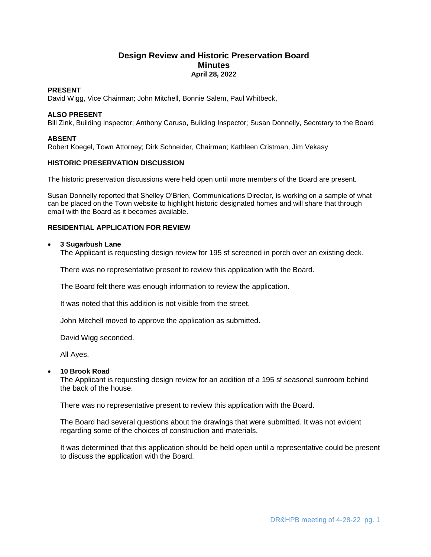# **Design Review and Historic Preservation Board Minutes April 28, 2022**

## **PRESENT**

David Wigg, Vice Chairman; John Mitchell, Bonnie Salem, Paul Whitbeck,

## **ALSO PRESENT**

Bill Zink, Building Inspector; Anthony Caruso, Building Inspector; Susan Donnelly, Secretary to the Board

## **ABSENT**

Robert Koegel, Town Attorney; Dirk Schneider, Chairman; Kathleen Cristman, Jim Vekasy

## **HISTORIC PRESERVATION DISCUSSION**

The historic preservation discussions were held open until more members of the Board are present.

Susan Donnelly reported that Shelley O'Brien, Communications Director, is working on a sample of what can be placed on the Town website to highlight historic designated homes and will share that through email with the Board as it becomes available.

## **RESIDENTIAL APPLICATION FOR REVIEW**

## **3 Sugarbush Lane**

The Applicant is requesting design review for 195 sf screened in porch over an existing deck.

There was no representative present to review this application with the Board.

The Board felt there was enough information to review the application.

It was noted that this addition is not visible from the street.

John Mitchell moved to approve the application as submitted.

David Wigg seconded.

All Ayes.

## **10 Brook Road**

The Applicant is requesting design review for an addition of a 195 sf seasonal sunroom behind the back of the house.

There was no representative present to review this application with the Board.

The Board had several questions about the drawings that were submitted. It was not evident regarding some of the choices of construction and materials.

It was determined that this application should be held open until a representative could be present to discuss the application with the Board.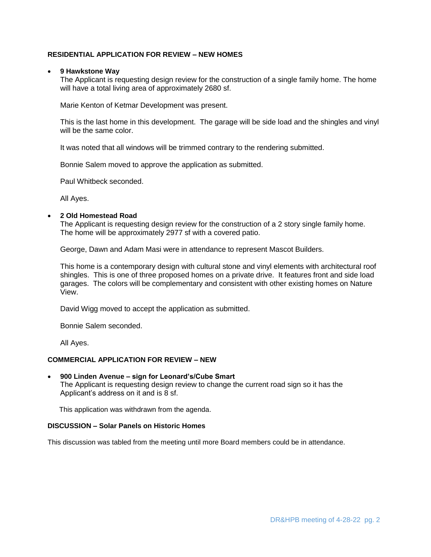## **RESIDENTIAL APPLICATION FOR REVIEW – NEW HOMES**

## **9 Hawkstone Way**

The Applicant is requesting design review for the construction of a single family home. The home will have a total living area of approximately 2680 sf.

Marie Kenton of Ketmar Development was present.

This is the last home in this development. The garage will be side load and the shingles and vinyl will be the same color.

It was noted that all windows will be trimmed contrary to the rendering submitted.

Bonnie Salem moved to approve the application as submitted.

Paul Whitbeck seconded.

All Ayes.

#### **2 Old Homestead Road**

The Applicant is requesting design review for the construction of a 2 story single family home. The home will be approximately 2977 sf with a covered patio.

George, Dawn and Adam Masi were in attendance to represent Mascot Builders.

This home is a contemporary design with cultural stone and vinyl elements with architectural roof shingles. This is one of three proposed homes on a private drive. It features front and side load garages. The colors will be complementary and consistent with other existing homes on Nature View.

David Wigg moved to accept the application as submitted.

Bonnie Salem seconded.

All Ayes.

## **COMMERCIAL APPLICATION FOR REVIEW – NEW**

 **900 Linden Avenue – sign for Leonard's/Cube Smart** The Applicant is requesting design review to change the current road sign so it has the Applicant's address on it and is 8 sf.

This application was withdrawn from the agenda.

#### **DISCUSSION – Solar Panels on Historic Homes**

This discussion was tabled from the meeting until more Board members could be in attendance.